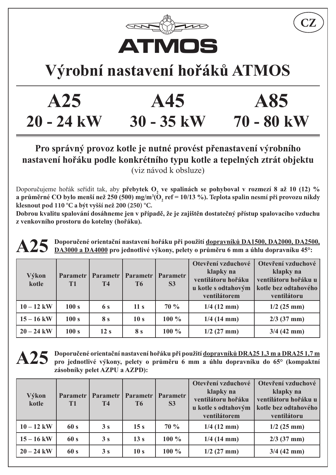

**Pro správný provoz kotle je nutné provést přenastavení výrobního nastavení hořáku podle konkrétního typu kotle a tepelných ztrát objektu** (viz návod k obsluze)

Doporučujeme hořák seřídit tak, aby **přebytek O<sub>2</sub> ve spalinách se pohyboval v rozmezí 8 až 10 (12) % a průměrné CO bylo menší než 250 (500) mg/m<sup>3</sup> (O2 ref = 10/13 %). Teplota spalin nesmí při provozu nikdy klesnout pod 110 °C a být vyšší než 200 (250) °C.**

**Dobrou kvalitu spalování dosáhneme jen v případě, že je zajištěn dostatečný přístup spalovacího vzduchu z venkovního prostoru do kotelny (hořáku).**

**A25** Doporučené orientační nastavení hořáku při použití <u>dopravníků DA1500, DA2000, DA2500,</u><br>DA3000 a DA4000 pro jednotlivé výkony pelety o průměru 6 mm a úhlu dopravníku 45°· **DA3000 a DA4000 pro jednotlivé výkony, pelety o průměru 6 mm a úhlu dopravníku 45°:**

| Výkon<br>kotle | <b>Parametr</b><br>T <sub>1</sub> | <b>Parametr</b><br><b>T4</b> | <b>Parametr</b><br><b>T6</b> | <b>Parametr</b><br>S <sub>3</sub> | Otevření vzduchové<br>klapky na<br>ventilátoru hořáku<br>u kotle s odtahovým<br>ventilátorem | Otevření vzduchové<br>klapky na<br>ventilátoru hořáku u<br>kotle bez odtahového<br>ventilátoru |
|----------------|-----------------------------------|------------------------------|------------------------------|-----------------------------------|----------------------------------------------------------------------------------------------|------------------------------------------------------------------------------------------------|
| $10 - 12$ kW   | 100 s                             | 6 s                          | 11 <sub>s</sub>              | $70\%$                            | $1/4$ (12 mm)                                                                                | $1/2$ (25 mm)                                                                                  |
| $15 - 16$ kW   | 100 s                             | 8 s                          | 10 <sub>s</sub>              | $100\%$                           | $1/4$ (14 mm)                                                                                | $2/3$ (37 mm)                                                                                  |
| $20 - 24$ kW   | 100 s                             | 12 s                         | 8 s                          | $100\%$                           | $1/2$ (27 mm)                                                                                | $3/4$ (42 mm)                                                                                  |



**A25** Doporučené orientační nastavení hořáku při použití <u>dopravníků DRA25 1,3 m a DRA25 1,7 m</u><br>pro jednotlivé výkony pelety o průměru 6 mm a úhlu dopravníku do 65° (kompaktní **pro jednotlivé výkony, pelety o průměru 6 mm a úhlu dopravníku do 65° (kompaktní zásobníky pelet AZPU a AZPD):**

| Výkon<br>kotle | <b>Parametr</b><br>T <sub>1</sub> | <b>Parametr</b><br><b>T4</b> | <b>Parametr</b><br><b>T6</b> | <b>Parametr</b><br>S <sub>3</sub> | Otevření vzduchové<br>klapky na<br>ventilátoru hořáku<br>u kotle s odtahovým<br>ventilátorem | Otevření vzduchové<br>klapky na<br>ventilátoru hořáku u<br>kotle bez odtahového<br>ventilátoru |
|----------------|-----------------------------------|------------------------------|------------------------------|-----------------------------------|----------------------------------------------------------------------------------------------|------------------------------------------------------------------------------------------------|
| $10 - 12$ kW   | 60 s                              | 3 <sub>s</sub>               | 15 <sub>s</sub>              | $70\%$                            | $1/4$ (12 mm)                                                                                | $1/2$ (25 mm)                                                                                  |
| $15 - 16$ kW   | 60 s                              | 3 <sub>s</sub>               | 13 <sub>s</sub>              | $100 \%$                          | $1/4$ (14 mm)                                                                                | $2/3$ (37 mm)                                                                                  |
| $20 - 24$ kW   | 60 s                              | 3 <sub>s</sub>               | 10 <sub>s</sub>              | $100 \%$                          | $1/2$ (27 mm)                                                                                | $3/4$ (42 mm)                                                                                  |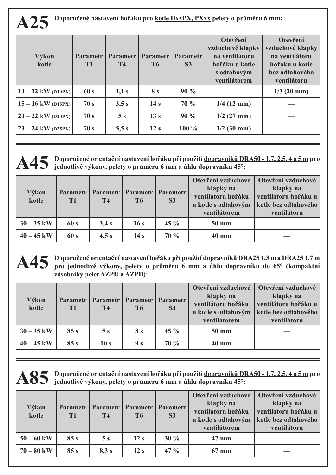### **A25 Doporučené nastavení hořáku pro kotle DxxPX, PXxx pelety o průměru 6 mm:**

| <b>Výkon</b><br>kotle         | <b>Parametr</b><br>T <sub>1</sub> | <b>Parametr</b><br><b>T4</b> | <b>Parametr</b><br><b>T6</b> | Parametr<br>S <sub>3</sub> | Otevření<br>vzduchové klapky<br>na ventilátoru<br>hořáku u kotle<br>s odtahovým<br>ventilátorem | Otevření<br>vzduchové klapky<br>na ventilátoru<br>hořáku u kotle<br>bez odtahového<br>ventilátoru |
|-------------------------------|-----------------------------------|------------------------------|------------------------------|----------------------------|-------------------------------------------------------------------------------------------------|---------------------------------------------------------------------------------------------------|
| $10 - 12$ kW (D10PX)          | 60 s                              | 1,1 s                        | 8 s                          | $90\%$                     |                                                                                                 | $1/3$ (20 mm)                                                                                     |
| $15 - 16$ kW (D15PX)          | 70 s                              | 3,5s                         | 14 <sub>s</sub>              | $70\%$                     | $1/4$ (12 mm)                                                                                   |                                                                                                   |
| $ 20 - 22 \text{ kW}$ (D20PX) | 70 s                              | 5 <sub>s</sub>               | 13 <sub>s</sub>              | $90\%$                     | $1/2$ (27 mm)                                                                                   |                                                                                                   |
| $ 23 - 24$ kW (D25PX)         | 70 s                              | 5,5 s                        | 12 <sub>s</sub>              | $100 \%$                   | $1/2$ (30 mm)                                                                                   |                                                                                                   |

**A45 Doporučené orientační nastavení hořáku při použití dopravníků DRA50 - 1.7, 2.5, 4 a 5 m pro jednotlivé výkony, pelety o průměru 6 mm a úhlu dopravníku 45°:**

| Výkon<br>kotle | Parametr I<br>T <sub>1</sub> | <b>T4</b> | Parametr   Parametr   Parametr<br>T6 | S <sub>3</sub> | klapky na<br>ventilátoru hořáku<br>u kotle s odtahovým<br>ventilátorem | Otevření vzduchové   Otevření vzduchové<br>klapky na<br>ventilátoru hořáku u<br>kotle bez odtahového<br>ventilátoru |
|----------------|------------------------------|-----------|--------------------------------------|----------------|------------------------------------------------------------------------|---------------------------------------------------------------------------------------------------------------------|
| $30 - 35$ kW   | 60 s                         | 3,4s      | 16 <sub>s</sub>                      | $45 \%$        | 50 mm                                                                  |                                                                                                                     |
| $40 - 45$ kW   | 60 s                         | 4,5s      | 14 s                                 | $70\%$         | $40 \text{ mm}$                                                        |                                                                                                                     |



**A45** Doporučené orientační nastavení hořáku při použití <u>dopravníků DRA251,3 m a DRA251,7 m</u><br>pro jednotlivé výkony, pelety o průměru 6 mm a úhlu dopravníku do 65° (kompaktní **zásobníky pelet AZPU a AZPD):**

| Výkon<br>kotle | Parametr  <br><b>T1</b> | <b>T4</b>       | Parametr   Parametr  <br>T6 | Parametr<br>S <sub>3</sub> | klapky na<br>ventilátoru hořáku<br>u kotle s odtahovým<br>ventilátorem | Otevření vzduchové   Otevření vzduchové<br>klapky na<br>ventilátoru hořáku u<br>kotle bez odtahového<br>ventilátoru |
|----------------|-------------------------|-----------------|-----------------------------|----------------------------|------------------------------------------------------------------------|---------------------------------------------------------------------------------------------------------------------|
| $30 - 35$ kW   | 85s                     | 5 <sub>s</sub>  | 8 s                         | $45 \%$                    | 50 mm                                                                  |                                                                                                                     |
| $40 - 45$ kW   | 85s                     | 10 <sub>s</sub> | 9 <sub>s</sub>              | $70\%$                     | 40 mm                                                                  |                                                                                                                     |

### **A85 Doporučené orientační nastavení hořáku při použití dopravníků DRA50 - 1.7, 2.5, 4 a 5 m pro jednotlivé výkony, pelety o průměru 6 mm a úhlu dopravníku 45°:**

| Výkon<br>kotle | Parametr I<br>T <sub>1</sub> | <b>T4</b>      | Parametr   Parametr   Parametr<br>T <sub>6</sub> | S <sub>3</sub> | klapky na<br>ventilátoru hořáku<br>u kotle s odtahovým<br>ventilátorem | Otevření vzduchové   Otevření vzduchové<br>klapky na<br>ventilátoru hořáku u<br>kotle bez odtahového<br>ventilátoru |
|----------------|------------------------------|----------------|--------------------------------------------------|----------------|------------------------------------------------------------------------|---------------------------------------------------------------------------------------------------------------------|
| $50 - 60$ kW   | 85 s                         | 5 <sub>s</sub> | 12 <sub>s</sub>                                  | $30\%$         | $47 \text{ mm}$                                                        |                                                                                                                     |
| $70 - 80$ kW   | 85 s                         | 8.3 s          | 12 <sub>s</sub>                                  | $47\%$         | 67 mm                                                                  |                                                                                                                     |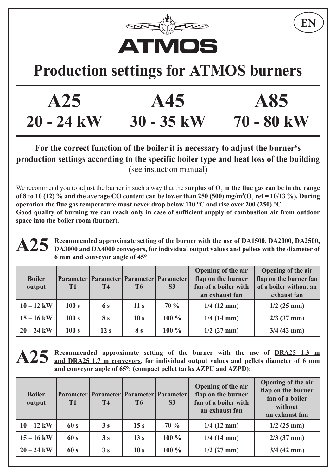

**ATMOS 30 - 35 kW 20 - 24 kW 70 - 80 kW**

**For the correct function of the boiler it is necessary to adjust the burner's production settings according to the specific boiler type and heat loss of the building** (see instuction manual)

We recommend you to adjust the burner in such a way that the **surplus of**  $O<sub>2</sub>$  **in the flue gas can be in the range of 8 to 10 (12) % and the average CO content can be lower than 250 (500) mg/m<sup>3</sup>(O<sub>2</sub> ref = 10/13 %). During operation the flue gas temperature must never drop below 110 °C and rise over 200 (250) °C. Good quality of burning we can reach only in case of sufficient supply of combustion air from outdoor space into the boiler room (burner).**

**A25** Recommended approximate setting of the burner with the use of <u>DA1500, DA2000, DA2500, DA2500</u> **DA3000 and DA4000 conveyors, for individual output values and pellets with the diameter of 6 mm and conveyor angle of 45°**

| <b>Boiler</b><br>output | <b>T1</b> | <b>T4</b>       | T <sub>6</sub>  | Parameter   Parameter   Parameter   Parameter<br><b>S3</b> | Opening of the air<br>flap on the burner<br>fan of a boiler with<br>an exhaust fan | Opening of the air<br>flap on the burner fan<br>of a boiler without an<br>exhaust fan |
|-------------------------|-----------|-----------------|-----------------|------------------------------------------------------------|------------------------------------------------------------------------------------|---------------------------------------------------------------------------------------|
| $10 - 12$ kW            | 100 s     | <b>6 s</b>      | 11 <sub>s</sub> | $70\%$                                                     | $1/4$ (12 mm)                                                                      | $1/2$ (25 mm)                                                                         |
| $15 - 16$ kW            | 100 s     | <b>8</b> s      | 10 <sub>s</sub> | $100 \%$                                                   | $1/4$ (14 mm)                                                                      | $2/3$ (37 mm)                                                                         |
| $20 - 24$ kW            | 100 s     | 12 <sub>s</sub> | 8 s             | $100\%$                                                    | $1/2$ (27 mm)                                                                      | $3/4$ (42 mm)                                                                         |

**A25** Recommended approximate setting of the burner with the use of **DRA25 1.3 m**<br>and DRA25.1.7 m conveyors for individual output values and pellets diameter of 6 mm **and DRA25 1.7 m conveyors, for individual output values and pellets diameter of 6 mm and conveyor angle of 65°: (compact pellet tanks AZPU and AZPD):**

| <b>Boiler</b><br>output | <b>T1</b> | Parameter   Parameter   Parameter   Parameter<br><b>T4</b> | <b>T6</b>       | S <sub>3</sub> | <b>Opening of the air</b><br>flap on the burner<br>fan of a boiler with<br>an exhaust fan | Opening of the air<br>flap on the burner<br>fan of a boiler<br>without<br>an exhaust fan |
|-------------------------|-----------|------------------------------------------------------------|-----------------|----------------|-------------------------------------------------------------------------------------------|------------------------------------------------------------------------------------------|
| $10 - 12$ kW            | 60 s      | 3 <sub>s</sub>                                             | 15 <sub>s</sub> | 70 %           | $1/4$ (12 mm)                                                                             | $1/2$ (25 mm)                                                                            |
| $15 - 16$ kW            | 60 s      | 3s                                                         | 13 <sub>s</sub> | $100 \%$       | $1/4$ (14 mm)                                                                             | $2/3$ (37 mm)                                                                            |
| $20 - 24$ kW            | 60 s      | 3s                                                         | 10 <sub>s</sub> | $100 \%$       | $1/2$ (27 mm)                                                                             | $3/4$ (42 mm)                                                                            |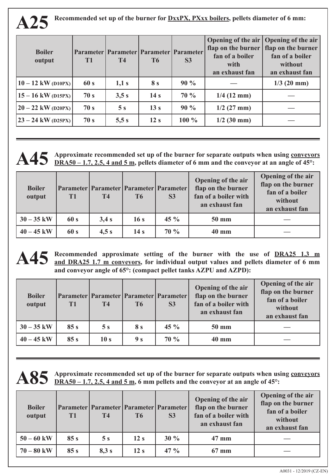### **A25** Recommended set up of the burner for <u>DxxPX, PXxx boilers</u>, pellets diameter of 6 mm:

| <b>Boiler</b><br>output       | T <sub>1</sub> | Parameter   Parameter   Parameter   Parameter<br><b>T4</b> | <b>T6</b>       | S <sub>3</sub> | fan of a boiler<br>with<br>an exhaust fan | Opening of the air   Opening of the air<br>flap on the burner   flap on the burner<br>fan of a boiler<br>without<br>an exhaust fan |
|-------------------------------|----------------|------------------------------------------------------------|-----------------|----------------|-------------------------------------------|------------------------------------------------------------------------------------------------------------------------------------|
| $10 - 12$ kW (D10PX)          | 60 s           | 1,1 s                                                      | <b>8</b> s      | $90\%$         |                                           | $1/3$ (20 mm)                                                                                                                      |
| $15 - 16$ kW (D15PX)          | 70 s           | 3,5 s                                                      | 14 <sub>s</sub> | 70 %           | $1/4$ (12 mm)                             |                                                                                                                                    |
| $ 20 - 22 \text{ kW}$ (D20PX) | 70 s           | 5 <sub>s</sub>                                             | 13 <sub>s</sub> | $90\%$         | $1/2$ (27 mm)                             |                                                                                                                                    |
| $ 23 - 24$ kW (D25PX)         | 70 s           | 5,5 s                                                      | 12 <sub>s</sub> | $100 \%$       | $1/2$ (30 mm)                             |                                                                                                                                    |

### A45 Approximate recommended set up of the burner for separate outputs when using <u>conveyors</u><br><u>DRA50 – 1.7, 2.5, 4 and 5 m</u>, pellets diameter of 6 mm and the conveyor at an angle of 45°:

| <b>Boiler</b><br>output | <b>T1</b> | <b>T4</b> | T6              | Parameter   Parameter   Parameter   Parameter  <br>S <sub>3</sub> | <b>Opening of the air</b><br>flap on the burner<br>fan of a boiler with<br>an exhaust fan | <b>Opening of the air</b><br>flap on the burner<br>fan of a boiler<br>without<br>an exhaust fan |
|-------------------------|-----------|-----------|-----------------|-------------------------------------------------------------------|-------------------------------------------------------------------------------------------|-------------------------------------------------------------------------------------------------|
| $30 - 35$ kW            | 60 s      | 3,4s      | 16 <sub>s</sub> | $45\%$                                                            | 50 mm                                                                                     |                                                                                                 |
| $40 - 45$ kW            | 60 s      | 4,5s      | 14 <sub>s</sub> | 70 %                                                              | 40 mm                                                                                     |                                                                                                 |

**A45** Recommended approximate setting of the burner with the use of DRA25 1.3 m **and DRA25 1.7 m conveyors, for individual output values and pellets diameter of 6 mm and conveyor angle of 65°: (compact pellet tanks AZPU and AZPD):**

| <b>Boiler</b><br>output | <b>T1</b> | <b>T4</b>       | T6             | Parameter   Parameter   Parameter   Parameter  <br>S <sub>3</sub> | <b>Opening of the air</b><br>flap on the burner<br>fan of a boiler with<br>an exhaust fan | Opening of the air<br>flap on the burner<br>fan of a boiler<br>without<br>an exhaust fan |
|-------------------------|-----------|-----------------|----------------|-------------------------------------------------------------------|-------------------------------------------------------------------------------------------|------------------------------------------------------------------------------------------|
| $30 - 35$ kW            | 85s       | 5s              | 8 s            | $45\%$                                                            | 50 mm                                                                                     |                                                                                          |
| $40 - 45$ kW            | 85s       | 10 <sub>s</sub> | 9 <sub>s</sub> | 70%                                                               | $40 \text{ mm}$                                                                           |                                                                                          |

| A85 Approximate recommended set up of the burner for separate outputs when using conveyors DRA50 - 1.7, 2.5, 4 and 5 m, 6 mm pellets and the conveyor at an angle of 45°: |
|---------------------------------------------------------------------------------------------------------------------------------------------------------------------------|
|                                                                                                                                                                           |

| <b>Boiler</b><br>output | <b>T1</b> | <b>T4</b> | T6              | Parameter   Parameter   Parameter   Parameter<br>S <sub>3</sub> | <b>Opening of the air</b><br>flap on the burner<br>fan of a boiler with<br>an exhaust fan | <b>Opening of the air</b><br>flap on the burner<br>fan of a boiler<br>without<br>an exhaust fan |
|-------------------------|-----------|-----------|-----------------|-----------------------------------------------------------------|-------------------------------------------------------------------------------------------|-------------------------------------------------------------------------------------------------|
| $50 - 60$ kW            | 85s       | 5s        | 12 <sub>s</sub> | 30%                                                             | 47 mm                                                                                     |                                                                                                 |
| $70-80$ kW              | 85s       | 8,3s      | 12 <sub>s</sub> | $47\%$                                                          | 67 mm                                                                                     |                                                                                                 |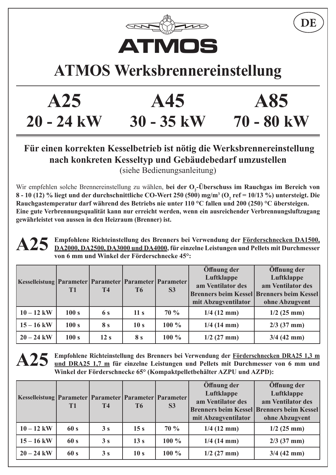

#### **Für einen korrekten Kesselbetrieb ist nötig die Werksbrennereinstellung nach konkreten Kesseltyp und Gebäudebedarf umzustellen** (siehe Bedienungsanleitung)

Wir empfehlen solche Brennereinstellung zu wählen, bei der O<sub>2</sub>-Überschuss im Rauchgas im Bereich von **8 - 10 (12) % liegt und der durchschnittliche CO-Wert 250 (500) mg/m<sup>3</sup> (O2 ref = 10/13 %) untersteigt. Die Rauchgastemperatur darf während des Betriebs nie unter 110 °C fallen und 200 (250) °C übersteigen. Eine gute Verbrennungsqualität kann nur erreicht werden, wenn ein ausreichender Verbrennungsluftzugang gewährleistet von aussen in den Heizraum (Brenner) ist.**

**A25** Empfohlene Richteinstellung des Brenners bei Verwendung der Förderschnecken DA1500,<br>
<u>DA2000, DA2500, DA3000 und DA4000</u>, für einzelne Leistungen und Pellets mit Durchmesser **von 6 mm und Winkel der Förderschnecke 45°:**

| Kesselleistung   Parameter   Parameter   Parameter   Parameter | T <sub>1</sub> | <b>T4</b>       | <b>T6</b>       | S <sub>3</sub> | Öffnung der<br>Luftklappe<br>am Ventilator des<br>mit Abzugventilator | Öffnung der<br>Luftklappe<br>am Ventilator des<br><b>Brenners beim Kessel Brenners beim Kessel</b><br>ohne Abzugvent |
|----------------------------------------------------------------|----------------|-----------------|-----------------|----------------|-----------------------------------------------------------------------|----------------------------------------------------------------------------------------------------------------------|
| $10 - 12$ kW                                                   | 100 s          | <b>6 s</b>      | 11 <sub>s</sub> | 70 %           | $1/4$ (12 mm)                                                         | $1/2$ (25 mm)                                                                                                        |
| $15 - 16$ kW                                                   | 100 s          | 8 s             | 10 <sub>s</sub> | $100 \%$       | $1/4$ (14 mm)                                                         | $2/3$ (37 mm)                                                                                                        |
| $20 - 24$ kW                                                   | 100 s          | 12 <sub>s</sub> | <b>8</b> s      | $100 \%$       | $1/2$ (27 mm)                                                         | $3/4$ (42 mm)                                                                                                        |



**A25 Empfohlene Richteinstellung des Brenners bei Verwendung der Förderschnecken DRA25 1,3 <sup>m</sup> und DRA25 1,7 m für einzelne Leistungen und Pellets mit Durchmesser von 6 mm und Winkel der Förderschnecke 65° (Kompaktpelletbehälter AZPU und AZPD):**

| Kesselleistung   Parameter   Parameter   Parameter   Parameter | T <sub>1</sub> | <b>T4</b>      | <b>T6</b>       | S <sub>3</sub> | Öffnung der<br>Luftklappe<br>am Ventilator des<br>mit Abzugventilator | Öffnung der<br>Luftklappe<br>am Ventilator des<br><b>Brenners beim Kessel Brenners beim Kessel</b><br>ohne Abzugvent |
|----------------------------------------------------------------|----------------|----------------|-----------------|----------------|-----------------------------------------------------------------------|----------------------------------------------------------------------------------------------------------------------|
| $10 - 12$ kW                                                   | 60 s           | 3 <sub>s</sub> | 15 <sub>s</sub> | $70\%$         | $1/4$ (12 mm)                                                         | $1/2$ (25 mm)                                                                                                        |
| $15 - 16$ kW                                                   | 60 s           | 3 <sub>s</sub> | 13 <sub>s</sub> | $100 \%$       | $1/4$ (14 mm)                                                         | $2/3$ (37 mm)                                                                                                        |
| $20 - 24$ kW                                                   | 60 s           | 3s             | 10 <sub>s</sub> | $100 \%$       | $1/2$ (27 mm)                                                         | $3/4$ (42 mm)                                                                                                        |